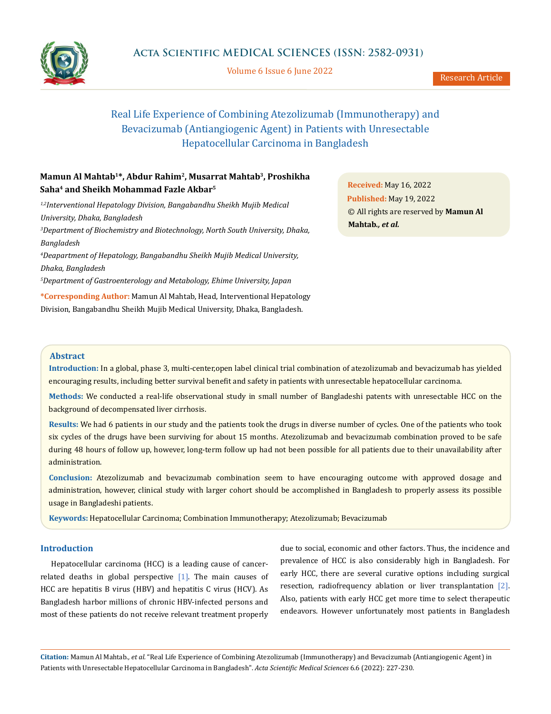

Volume 6 Issue 6 June 2022

# Real Life Experience of Combining Atezolizumab (Immunotherapy) and Bevacizumab (Antiangiogenic Agent) in Patients with Unresectable Hepatocellular Carcinoma in Bangladesh

# **Mamun Al Mahtab1\*, Abdur Rahim2, Musarrat Mahtab3, Proshikha Saha4 and Sheikh Mohammad Fazle Akbar5**

*1,2Interventional Hepatology Division, Bangabandhu Sheikh Mujib Medical University, Dhaka, Bangladesh*

*3 Department of Biochemistry and Biotechnology, North South University, Dhaka, Bangladesh*

*4 Deapartment of Hepatology, Bangabandhu Sheikh Mujib Medical University, Dhaka, Bangladesh*

*5 Department of Gastroenterology and Metabology, Ehime University, Japan*

**\*Corresponding Author:** Mamun Al Mahtab, Head, Interventional Hepatology Division, Bangabandhu Sheikh Mujib Medical University, Dhaka, Bangladesh.

**Received:** May 16, 2022 **Published:** May 19, 2022 © All rights are reserved by **Mamun Al Mahtab***., et al.*

# **Abstract**

**Introduction:** In a global, phase 3, multi-center,open label clinical trial combination of atezolizumab and bevacizumab has yielded encouraging results, including better survival benefit and safety in patients with unresectable hepatocellular carcinoma.

**Methods:** We conducted a real-life observational study in small number of Bangladeshi patents with unresectable HCC on the background of decompensated liver cirrhosis.

**Results:** We had 6 patients in our study and the patients took the drugs in diverse number of cycles. One of the patients who took six cycles of the drugs have been surviving for about 15 months. Atezolizumab and bevacizumab combination proved to be safe during 48 hours of follow up, however, long-term follow up had not been possible for all patients due to their unavailability after administration.

**Conclusion:** Atezolizumab and bevacizumab combination seem to have encouraging outcome with approved dosage and administration, however, clinical study with larger cohort should be accomplished in Bangladesh to properly assess its possible usage in Bangladeshi patients.

**Keywords:** Hepatocellular Carcinoma; Combination Immunotherapy; Atezolizumab; Bevacizumab

# **Introduction**

Hepatocellular carcinoma (HCC) is a leading cause of cancerrelated deaths in global perspective  $[1]$ . The main causes of HCC are hepatitis B virus (HBV) and hepatitis C virus (HCV). As Bangladesh harbor millions of chronic HBV-infected persons and most of these patients do not receive relevant treatment properly

due to social, economic and other factors. Thus, the incidence and prevalence of HCC is also considerably high in Bangladesh. For early HCC, there are several curative options including surgical resection, radiofrequency ablation or liver transplantation [2]. Also, patients with early HCC get more time to select therapeutic endeavors. However unfortunately most patients in Bangladesh

**Citation:** Mamun Al Mahtab*., et al.* "Real Life Experience of Combining Atezolizumab (Immunotherapy) and Bevacizumab (Antiangiogenic Agent) in Patients with Unresectable Hepatocellular Carcinoma in Bangladesh". *Acta Scientific Medical Sciences* 6.6 (2022): 227-230.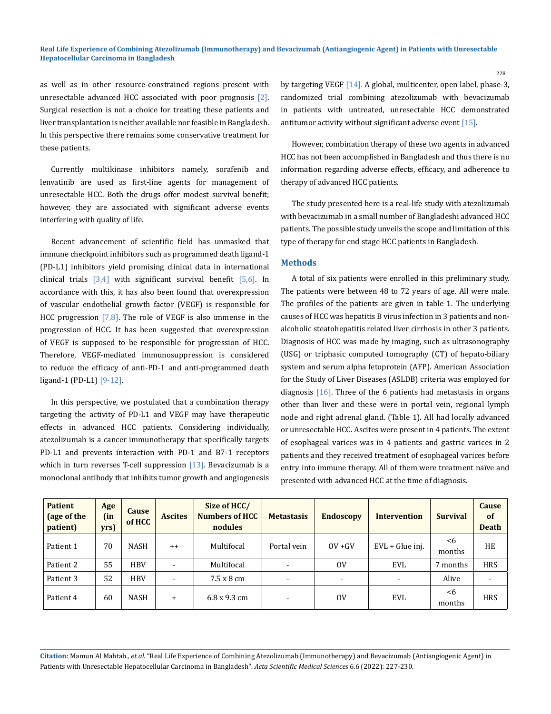as well as in other resource-constrained regions present with unresectable advanced HCC associated with poor prognosis [2]. Surgical resection is not a choice for treating these patients and liver transplantation is neither available nor feasible in Bangladesh. In this perspective there remains some conservative treatment for these patients.

Currently multikinase inhibitors namely, sorafenib and lenvatinib are used as first-line agents for management of unresectable HCC. Both the drugs offer modest survival benefit; however, they are associated with significant adverse events interfering with quality of life.

Recent advancement of scientific field has unmasked that immune checkpoint inhibitors such as programmed death ligand-1 (PD-L1) inhibitors yield promising clinical data in international clinical trials  $\begin{bmatrix} 3,4 \end{bmatrix}$  with significant survival benefit  $\begin{bmatrix} 5,6 \end{bmatrix}$ . In accordance with this, it has also been found that overexpression of vascular endothelial growth factor (VEGF) is responsible for HCC progression  $[7,8]$ . The role of VEGF is also immense in the progression of HCC. It has been suggested that overexpression of VEGF is supposed to be responsible for progression of HCC. Therefore, VEGF-mediated immunosuppression is considered to reduce the efficacy of anti-PD-1 and anti-programmed death ligand-1 (PD-L1) [9-12].

In this perspective, we postulated that a combination therapy targeting the activity of PD-L1 and VEGF may have therapeutic effects in advanced HCC patients. Considering individually, atezolizumab is a cancer immunotherapy that specifically targets PD-L1 and prevents interaction with PD-1 and B7-1 receptors which in turn reverses T-cell suppression  $[13]$ . Bevacizumab is a monoclonal antibody that inhibits tumor growth and angiogenesis by targeting VEGF [14]. A global, multicenter, open label, phase-3, randomized trial combining atezolizumab with bevacizumab in patients with untreated, unresectable HCC demonstrated antitumor activity without significant adverse event [15].

However, combination therapy of these two agents in advanced HCC has not been accomplished in Bangladesh and thus there is no information regarding adverse effects, efficacy, and adherence to therapy of advanced HCC patients.

The study presented here is a real-life study with atezolizumab with bevacizumab in a small number of Bangladeshi advanced HCC patients. The possible study unveils the scope and limitation of this type of therapy for end stage HCC patients in Bangladesh.

#### **Methods**

A total of six patients were enrolled in this preliminary study. The patients were between 48 to 72 years of age. All were male. The profiles of the patients are given in table 1. The underlying causes of HCC was hepatitis B virus infection in 3 patients and nonalcoholic steatohepatitis related liver cirrhosis in other 3 patients. Diagnosis of HCC was made by imaging, such as ultrasonography (USG) or triphasic computed tomography (CT) of hepato-biliary system and serum alpha fetoprotein (AFP). American Association for the Study of Liver Diseases (ASLDB) criteria was employed for diagnosis [16]. Three of the 6 patients had metastasis in organs other than liver and these were in portal vein, regional lymph node and right adrenal gland. (Table 1). All had locally advanced or unresectable HCC. Ascites were present in 4 patients. The extent of esophageal varices was in 4 patients and gastric varices in 2 patients and they received treatment of esophageal varices before entry into immune therapy. All of them were treatment naïve and presented with advanced HCC at the time of diagnosis.

| <b>Patient</b><br>(age of the<br>patient) | Age<br>(in<br>yrs) | Cause<br>of HCC | <b>Ascites</b>           | Size of HCC/<br><b>Numbers of HCC</b><br>nodules | <b>Metastasis</b>        | <b>Endoscopy</b> | <b>Intervention</b>      | <b>Survival</b> | <b>Cause</b><br>of<br><b>Death</b> |
|-------------------------------------------|--------------------|-----------------|--------------------------|--------------------------------------------------|--------------------------|------------------|--------------------------|-----------------|------------------------------------|
| Patient 1                                 | 70                 | <b>NASH</b>     | $++$                     | Multifocal                                       | Portal vein              | $OV + GV$        | EVL + Glue inj.          | <6<br>months    | HE                                 |
| Patient 2                                 | 55                 | <b>HBV</b>      | $\overline{\phantom{a}}$ | Multifocal                                       | $\overline{\phantom{a}}$ | 0V               | EVL                      | 7 months        | <b>HRS</b>                         |
| Patient 3                                 | 52                 | <b>HBV</b>      | $\overline{\phantom{a}}$ | 7.5 x 8 cm                                       | $\overline{\phantom{0}}$ |                  | $\overline{\phantom{a}}$ | Alive           |                                    |
| Patient 4                                 | 60                 | <b>NASH</b>     | $+$                      | $6.8 \times 9.3$ cm                              | $\overline{\phantom{0}}$ | 0V               | EVL                      | <6<br>months    | <b>HRS</b>                         |

**Citation:** Mamun Al Mahtab*., et al.* "Real Life Experience of Combining Atezolizumab (Immunotherapy) and Bevacizumab (Antiangiogenic Agent) in Patients with Unresectable Hepatocellular Carcinoma in Bangladesh". *Acta Scientific Medical Sciences* 6.6 (2022): 227-230.

228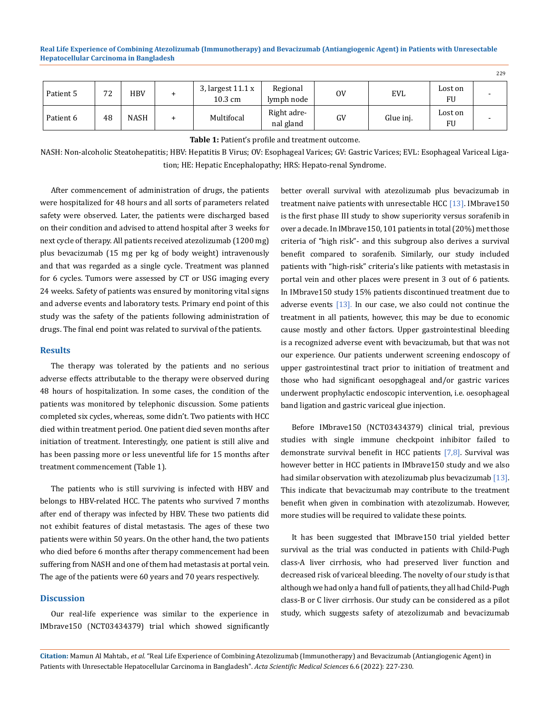**Real Life Experience of Combining Atezolizumab (Immunotherapy) and Bevacizumab (Antiangiogenic Agent) in Patients with Unresectable Hepatocellular Carcinoma in Bangladesh**

|           |         |             |                                |                          |    |            |               | <u>_</u> _ |
|-----------|---------|-------------|--------------------------------|--------------------------|----|------------|---------------|------------|
| Patient 5 | 72<br>∼ | <b>HBV</b>  | 3, largest $11.1 x$<br>10.3 cm | Regional<br>lymph node   | 0V | <b>EVL</b> | Lost on<br>FU |            |
| Patient 6 | 48      | <b>NASH</b> | Multifocal                     | Right adre-<br>nal gland | GV | Glue inj.  | Lost on<br>FU |            |

**Table 1:** Patient's profile and treatment outcome.

NASH: Non-alcoholic Steatohepatitis; HBV: Hepatitis B Virus; OV: Esophageal Varices; GV: Gastric Varices; EVL: Esophageal Variceal Ligation; HE: Hepatic Encephalopathy; HRS: Hepato-renal Syndrome.

After commencement of administration of drugs, the patients were hospitalized for 48 hours and all sorts of parameters related safety were observed. Later, the patients were discharged based on their condition and advised to attend hospital after 3 weeks for next cycle of therapy. All patients received atezolizumab (1200 mg) plus bevacizumab (15 mg per kg of body weight) intravenously and that was regarded as a single cycle. Treatment was planned for 6 cycles. Tumors were assessed by CT or USG imaging every 24 weeks. Safety of patients was ensured by monitoring vital signs and adverse events and laboratory tests. Primary end point of this study was the safety of the patients following administration of drugs. The final end point was related to survival of the patients.

#### **Results**

The therapy was tolerated by the patients and no serious adverse effects attributable to the therapy were observed during 48 hours of hospitalization. In some cases, the condition of the patients was monitored by telephonic discussion. Some patients completed six cycles, whereas, some didn't. Two patients with HCC died within treatment period. One patient died seven months after initiation of treatment. Interestingly, one patient is still alive and has been passing more or less uneventful life for 15 months after treatment commencement (Table 1).

The patients who is still surviving is infected with HBV and belongs to HBV-related HCC. The patents who survived 7 months after end of therapy was infected by HBV. These two patients did not exhibit features of distal metastasis. The ages of these two patients were within 50 years. On the other hand, the two patients who died before 6 months after therapy commencement had been suffering from NASH and one of them had metastasis at portal vein. The age of the patients were 60 years and 70 years respectively.

# **Discussion**

Our real-life experience was similar to the experience in IMbrave150 (NCT03434379) trial which showed significantly better overall survival with atezolizumab plus bevacizumab in treatment naive patients with unresectable HCC [13]. IMbrave150 is the first phase III study to show superiority versus sorafenib in over a decade. In IMbrave150, 101 patients in total (20%) met those criteria of "high risk"- and this subgroup also derives a survival benefit compared to sorafenib. Similarly, our study included patients with "high-risk" criteria's like patients with metastasis in portal vein and other places were present in 3 out of 6 patients. In IMbrave150 study 15% patients discontinued treatment due to adverse events [13]. In our case, we also could not continue the treatment in all patients, however, this may be due to economic cause mostly and other factors. Upper gastrointestinal bleeding is a recognized adverse event with bevacizumab, but that was not our experience. Our patients underwent screening endoscopy of upper gastrointestinal tract prior to initiation of treatment and those who had significant oesopghageal and/or gastric varices underwent prophylactic endoscopic intervention, i.e. oesophageal band ligation and gastric variceal glue injection.

 $229$ 

Before IMbrave150 (NCT03434379) clinical trial, previous studies with single immune checkpoint inhibitor failed to demonstrate survival benefit in HCC patients [7,8]. Survival was however better in HCC patients in IMbrave150 study and we also had similar observation with atezolizumab plus bevacizumab [13]. This indicate that bevacizumab may contribute to the treatment benefit when given in combination with atezolizumab. However, more studies will be required to validate these points.

It has been suggested that IMbrave150 trial yielded better survival as the trial was conducted in patients with Child-Pugh class-A liver cirrhosis, who had preserved liver function and decreased risk of variceal bleeding. The novelty of our study is that although we had only a hand full of patients, they all had Child-Pugh class-B or C liver cirrhosis. Our study can be considered as a pilot study, which suggests safety of atezolizumab and bevacizumab

**Citation:** Mamun Al Mahtab*., et al.* "Real Life Experience of Combining Atezolizumab (Immunotherapy) and Bevacizumab (Antiangiogenic Agent) in Patients with Unresectable Hepatocellular Carcinoma in Bangladesh". *Acta Scientific Medical Sciences* 6.6 (2022): 227-230.